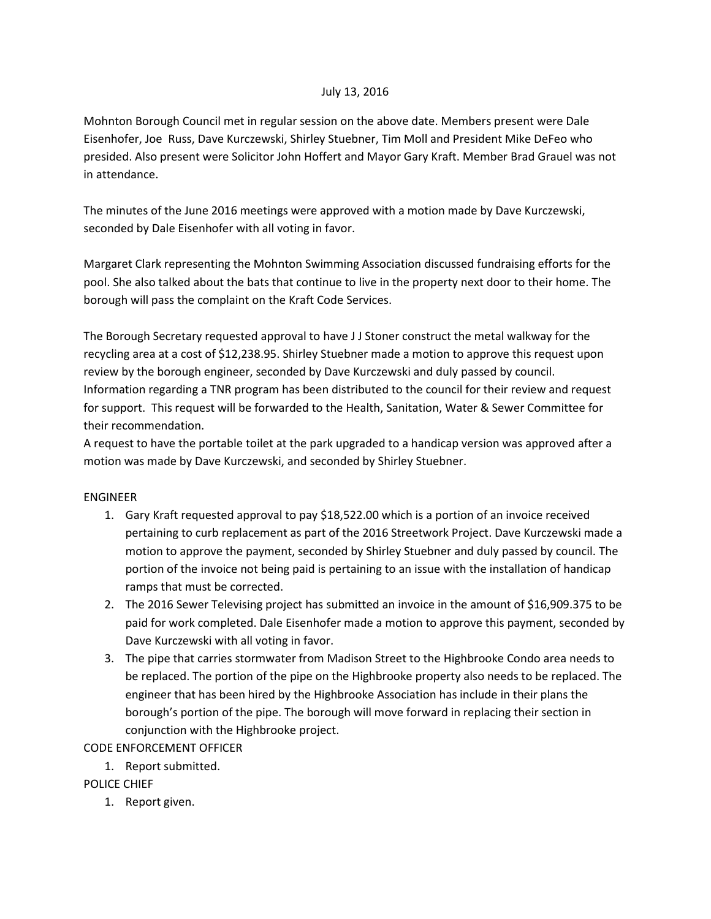### July 13, 2016

Mohnton Borough Council met in regular session on the above date. Members present were Dale Eisenhofer, Joe Russ, Dave Kurczewski, Shirley Stuebner, Tim Moll and President Mike DeFeo who presided. Also present were Solicitor John Hoffert and Mayor Gary Kraft. Member Brad Grauel was not in attendance.

The minutes of the June 2016 meetings were approved with a motion made by Dave Kurczewski, seconded by Dale Eisenhofer with all voting in favor.

Margaret Clark representing the Mohnton Swimming Association discussed fundraising efforts for the pool. She also talked about the bats that continue to live in the property next door to their home. The borough will pass the complaint on the Kraft Code Services.

The Borough Secretary requested approval to have J J Stoner construct the metal walkway for the recycling area at a cost of \$12,238.95. Shirley Stuebner made a motion to approve this request upon review by the borough engineer, seconded by Dave Kurczewski and duly passed by council. Information regarding a TNR program has been distributed to the council for their review and request for support. This request will be forwarded to the Health, Sanitation, Water & Sewer Committee for their recommendation.

A request to have the portable toilet at the park upgraded to a handicap version was approved after a motion was made by Dave Kurczewski, and seconded by Shirley Stuebner.

### ENGINEER

- 1. Gary Kraft requested approval to pay \$18,522.00 which is a portion of an invoice received pertaining to curb replacement as part of the 2016 Streetwork Project. Dave Kurczewski made a motion to approve the payment, seconded by Shirley Stuebner and duly passed by council. The portion of the invoice not being paid is pertaining to an issue with the installation of handicap ramps that must be corrected.
- 2. The 2016 Sewer Televising project has submitted an invoice in the amount of \$16,909.375 to be paid for work completed. Dale Eisenhofer made a motion to approve this payment, seconded by Dave Kurczewski with all voting in favor.
- 3. The pipe that carries stormwater from Madison Street to the Highbrooke Condo area needs to be replaced. The portion of the pipe on the Highbrooke property also needs to be replaced. The engineer that has been hired by the Highbrooke Association has include in their plans the borough's portion of the pipe. The borough will move forward in replacing their section in conjunction with the Highbrooke project.

CODE ENFORCEMENT OFFICER

1. Report submitted.

### POLICE CHIEF

1. Report given.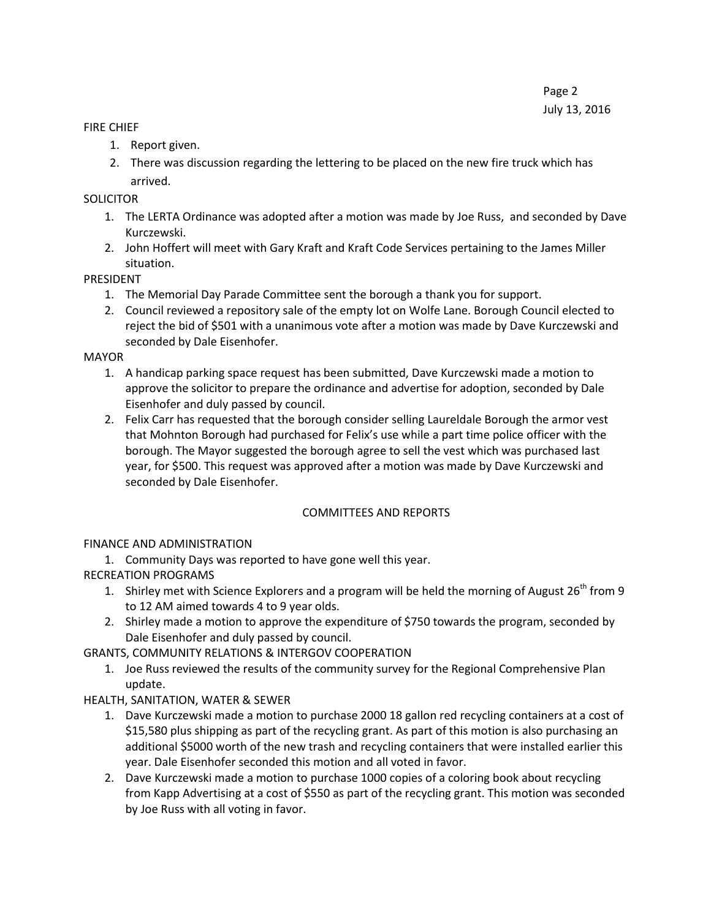### FIRE CHIEF

- 1. Report given.
- 2. There was discussion regarding the lettering to be placed on the new fire truck which has arrived.

## **SOLICITOR**

- 1. The LERTA Ordinance was adopted after a motion was made by Joe Russ, and seconded by Dave Kurczewski.
- 2. John Hoffert will meet with Gary Kraft and Kraft Code Services pertaining to the James Miller situation.

## PRESIDENT

- 1. The Memorial Day Parade Committee sent the borough a thank you for support.
- 2. Council reviewed a repository sale of the empty lot on Wolfe Lane. Borough Council elected to reject the bid of \$501 with a unanimous vote after a motion was made by Dave Kurczewski and seconded by Dale Eisenhofer.

## MAYOR

- 1. A handicap parking space request has been submitted, Dave Kurczewski made a motion to approve the solicitor to prepare the ordinance and advertise for adoption, seconded by Dale Eisenhofer and duly passed by council.
- 2. Felix Carr has requested that the borough consider selling Laureldale Borough the armor vest that Mohnton Borough had purchased for Felix's use while a part time police officer with the borough. The Mayor suggested the borough agree to sell the vest which was purchased last year, for \$500. This request was approved after a motion was made by Dave Kurczewski and seconded by Dale Eisenhofer.

# COMMITTEES AND REPORTS

# FINANCE AND ADMINISTRATION

1. Community Days was reported to have gone well this year.

# RECREATION PROGRAMS

- 1. Shirley met with Science Explorers and a program will be held the morning of August 26<sup>th</sup> from 9 to 12 AM aimed towards 4 to 9 year olds.
- 2. Shirley made a motion to approve the expenditure of \$750 towards the program, seconded by Dale Eisenhofer and duly passed by council.

GRANTS, COMMUNITY RELATIONS & INTERGOV COOPERATION

1. Joe Russ reviewed the results of the community survey for the Regional Comprehensive Plan update.

# HEALTH, SANITATION, WATER & SEWER

- 1. Dave Kurczewski made a motion to purchase 2000 18 gallon red recycling containers at a cost of \$15,580 plus shipping as part of the recycling grant. As part of this motion is also purchasing an additional \$5000 worth of the new trash and recycling containers that were installed earlier this year. Dale Eisenhofer seconded this motion and all voted in favor.
- 2. Dave Kurczewski made a motion to purchase 1000 copies of a coloring book about recycling from Kapp Advertising at a cost of \$550 as part of the recycling grant. This motion was seconded by Joe Russ with all voting in favor.